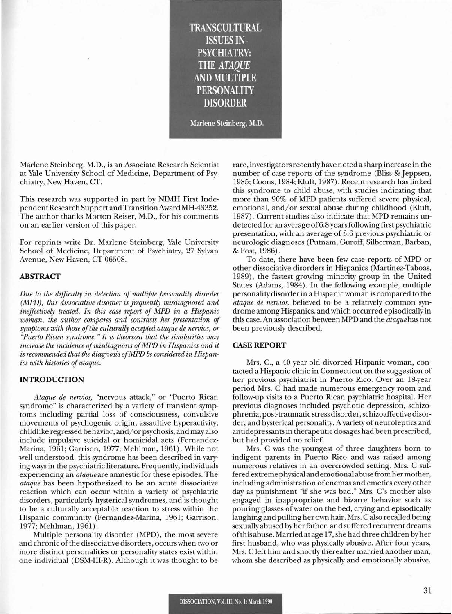**TRANSCULTURAL ISSUES IN PSYCHIATRY:** THE *ATAQUE* **AND MULTIPLE PERSONALITY DISORDER**

Marlene Steinberg, M.D.

Marlene Steinberg, M.D., is an Associate Research Scientist at Yale University School of Medicine, Department of Psychiatry, New Haven, CT.

This research was supported in part by NIMH First IndependentResearch Support and TransitionAward MH-43352. The author thanks Morton Reiser, M.D., for his comments on an earlier version of this paper.

For reprints write Dr. Marlene Steinberg, Yale University School of Medicine, Department of Psychiatry, 27 Sylvan Avenue, New Haven, CT 06508.

## ABSTRACT

*Due to the difficulty in detection of multiple personality disorder (MPD), this dissociative disorder is frequently misdiagnosed and ineffectively treated. In this case report of MPD in a Hispanic woman, the author compares and contrasts her presentation of*  $s$ *ymptoms with those of the culturally accepted ataque de nervios, or ''Puerto Rican syndrome.* " *It is theorized that the similarities may increase the incidence ofmisdiagnosis ofMPD in Hispanics and it is recommended that the diagnosis ofMPD be considered in Hispanics with histories of ataque.*

## **INTRODUCTION**

*Ataque de nervios,* "nervous attack," or "Puerto Rican syndrome" is characterized by a variety of transient symptoms including partial loss of consciousness, convulsive movements of psychogenic origin, assaultive hyperactivity, childlike regressed behavior, and/or psychosis, and may also include impulsive suicidal or homicidal acts (Fernandez-Marina, 1961; Garrison, 1977; Mehlman, 1961). While not well understood, this syndrome has been described in varying ways in the psychiatric literature. Frequently, individuals experiencing an *ataqueare* amnestic for these episodes. The *ataque* has been hypothesized to be an acute dissociative reaction which can occur within a variety of psychiatric disorders, particularly hysterical syndromes, and is thought to be a culturally acceptable reaction to stress within the Hispanic community (Fernandez-Marina, 1961; Garrison, 1977; Mehlman, 1961).

Multiple personality disorder (MPD), the most severe and chronic ofthe dissociative disorders, occurs when two or more distinct personalities or personality states exist within one individual (DSM-III-R). Although it was thought to be rare, investigatorsrecently have noted a sharp increase in the number of case reports of the syndrome (Bliss & Jeppsen, 1985; Coons, 1984; Kluft, 1987). Recent research has linked this syndrome to child abuse, with studies indicating that more than 90% of MPD patients suffered severe physical, emotional, and/or sexual abuse during childhood (Kluft, 1987). Current studies also indicate that MPD remains undetected for an average of6.8 yearsfollowing first psychiatric presentation, with an average of 3.6 previous psychiatric or neurologic diagnoses (Putnam, Guroff, Silberman, Barban, & Post, 1986).

To date, there have been few case reports of MPD or other dissociative disorders in Hispanics (Martinez-Taboas, 1989), the fastest growing minority group in the United States (Adams, 1984). In the following example, multiple personality disorder in a Hispanic woman is compared to the *ataque de nervios,* believed to be a relatively common syndrome among Hispanics, and which occurred episodically in this case. An association between MPD and the *ataque*has not been previously described.

## CASE REPORT

Mrs. C., a 40 year-old divorced Hispanic woman, contacted a Hispanic clinic in Connecticut on the suggestion of her previous psychiatrist in Puerto Rico. Over an 18-year period Mrs. C had made numerous emergency room and follow-up visits to a Puerto Rican psychiatric hospital. Her previous diagnoses included psychotic depression, schizophrenia, post-traumatic stress disorder, schizoaffective disorder, and hysterical personality. A variety of neuroleptics and antidepressantsin therapeutic dosages had been prescribed, but had provided no relief.

Mrs. C was the youngest of three daughters born to indigent parents in Puerto Rico and was raised among numerous relatives in an overcrowded setting. Mrs. C suffered extreme physical and emotional abuse from hermother, including administration of enemas and emetics every other day as punishment "if she was bad." Mrs. C's mother also engaged in inappropriate and bizarre behavior such as pouring glasses ofwater on the bed, crying and episodically laughing and pulling her own hair. Mrs. Calso recalled being sexually abused by herfather, and suffered recurrent dreams ofthis abuse. Married at age 17,she had three children by her first husband, who was physically abusive. *Mter* four years, Mrs. C left him and shortly thereafter married another man, whom she described as physically and emotionally abusive.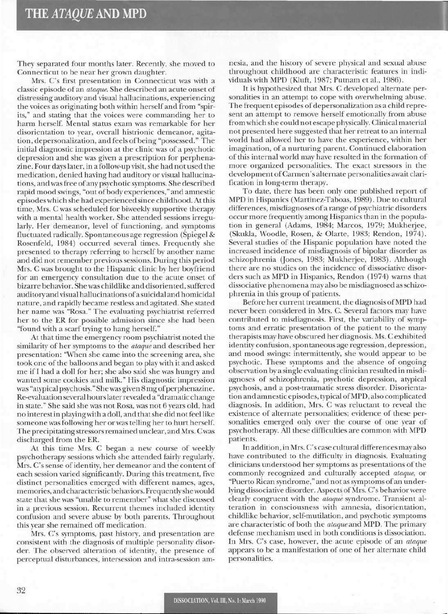They separated four months later. Recently, she moved to Connecticut to be near her grown daughter.

Mrs. C's first presentation in Connecticut was with a classic episode of an *ataque.* She described an acute onset of distressing auditory and visual hallucinations, experiencing the voices as originating both within herself and from "spirits," and stating that the voices were commanding her to harm herself. Mental status exam was remarkable for her disorientation to year, overall histrionic demeanor, agitation, depersonalization, and feels ofbeing "possessed." The initial diagnostic impression at the clinic was of a psychotic depression and she was given a prescription for perphenazine. Four days later, in a follow-up visit, she had not used the medication, denied having had auditory or visual hallucinations, and was free of any psychotic symptoms. She described rapid mood swings, "out of body experiences," and amnestic episodes which she had experienced since childhood. At this time, Mrs. C was scheduled for biweekly supportive therapy with a mental health worker. She attended sessions irregularly. Her demeanor, level of functioning, and symptoms fluctuated radically. Spontaneous age regression (Spiegel & Rosenfeld, 1984) occurred several times. Frequently she presented to therapy referring to herself by another name and did not remember previous sessions. During this period Mrs. C was brought to the Hispanic clinic by her boyfriend for an emergency consultation due to the acute onset of bizarre behavior. She was childlike and disoriented, suffered auditory and visual hallucinations ofa suicidal and homicidal nature, and rapidly became restless and agitated. She stated her name was "Rosa." The evaluating psychiatrist referred her to the ER for possible admission since she had been "found with a scarf trying to hang herself."

At that time the emergency room psychiatrist noted the similarity of her symptoms to the *ataque* and described her presentation: "When she came into the screening area, she took one of the balloons and began to play with it and asked me if I had a doll for her; she also said she was hungry and wanted some cookies and milk." His diagnostic impression was "atypical psychosis." She was given 8 mg of perphenazine. Re-evaluation several hourslaterrevealed a "dramatic change in state." She said she was not Rosa, was not 6 years old, had no interest in playingwith a doll, and thatshe didnotfeellike someone was following her or was telling her to hurt herself. The precipitating stressorsremained unclear, and Mrs. Cwas discharged from the ER.

At this time Mrs. C began a new course of weekly psychotherapy sessions which she attended fairly regularly. Mrs. C's sense of identity, her demeanor and the content of each session varied significantly. During this treatment, five distinct personalities emerged with different names, ages, memories, and characteristic behaviors. Frequentlyshewould state that she was "unable to remember" what she discussed in a previous session. Recurrent themes included identity confusion and severe abuse by both parents. Throughout this year she remained off medication.

Mrs. C's symptoms, past history, and presentation are consistent with the diagnosis of multiple personality disorder. The observed alteration of identity, the presence of perceptual disturbances, intersession and intra-session amnesia, and the history of severe physical and sexual abuse throughout childhood are characteristic features in individuals with MPD (Kluft, 1987; Putnam et aI., 1986).

It is hypothesized that Mrs. C developed alternate personalities in an attempt to cope with overwhelming abuse. The frequent episodes of depersonalization as a child represent an attempt to remove herself emotionally from abuse from which she could not escape physically. Clinical material not presented here suggested that her retreat to an internal world had allowed her to have the experience, within her imagination, of a nurturing parent. Continued elaboration of this internal world may have resulted in the formation of more organized personalities. The exact stressors in the development ofCarmen's alternate personalities await clarification in long-term therapy.

To date, there has been only one published report of MPD in Hispanics (Martinez-Taboas, 1989). Due to cultural differences, misdiagnoses of a range of psychiatric disorders occur more frequently among Hispanics than in the population in general (Adams, 1984; Marcos, 1979; Mukherjee, (Skukla, Woodle, Rosen, & Olarte, 1983; Rendon, 1974). Several studies of the Hispanic population have noted the increased incidence of misdiagnosis of bipolar disorder as schizophrenia (Jones, 1983; Mukherjee, 1983). Although there are no studies on the incidence of dissociative disorders such as MPD in Hispanics, Rendon (1974) warns that dissociative phenomena may also be misdiagnosed as schizophrenia in this group of patients.

Before her current treatment, the diagnosis ofMPD had never been considered in Mrs. C. Several factors may have contributed to misdiagnosis. First, the variability of symptoms and erratic presentation of the patient to the many therapists may have obscured her diagnosis. Ms. C exhibited identity confusion, spontaneous age regression, depression, and mood swings: intermittently, she would appear to be psychotic. These symptoms and the absence of ongoing observation by a single evaluating clinician resulted in misdiagnoses of schizophrenia, psychotic depression, atypical psychosis, and a post-traumatic stress disorder. Disorientation and amnestic episodes, typical ofMPD, also complicated diagnosis. In addition, Mrs. C was reluctant to reveal the existence of alternate personalities; evidence of these personalities emerged only over the course of one year of psychotherapy. All these difficulties are common with MPD patients.

In addition, in Mrs. C's case cuItural differences may also have contributed to the difficulty in diagnosis. Evaluating clinicians understood her symptoms as presentations of the commonly recognized and culturally accepted *ataque,* or "Puerto Rican syndrome," and not as symptoms of an underlying dissociative disorder. Aspects of Mrs. C's behavior were clearly congruent with the *ataque* syndrome. Transient alteration in consciousness with amnesia, disorientation, childlike behavior, self-mutilation, and psychotic symptoms are characteristic of both the *ataqueand* MPD. The primary defense mechanism used in both conditions is dissociation. In Mrs. C's case, however, the acute episode of an *ataque* appears to be a manifestation of one of her alternate child personalities.